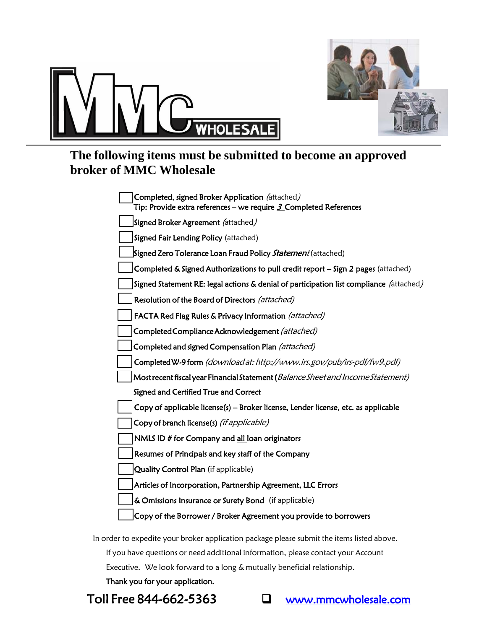



# **The following items must be submitted to become an approved broker of MMC Wholesale**

| Completed, signed Broker Application (attached)<br>Tip: Provide extra references – we require 3 Completed References |
|----------------------------------------------------------------------------------------------------------------------|
| Signed Broker Agreement (attached)                                                                                   |
| Signed Fair Lending Policy (attached)                                                                                |
| Signed Zero Tolerance Loan Fraud Policy Statement (attached)                                                         |
| Completed & Signed Authorizations to pull credit report - Sign 2 pages (attached)                                    |
| Signed Statement RE: legal actions & denial of participation list compliance $\left(\text{attached}\right)$          |
| Resolution of the Board of Directors (attached)                                                                      |
| FACTA Red Flag Rules & Privacy Information (attached)                                                                |
| Completed Compliance Acknowledgement (attached)                                                                      |
| Completed and signed Compensation Plan (attached)                                                                    |
| Completed W-9 form (download at: http://www.irs.gov/pub/irs-pdf/fw9.pdf)                                             |
| Most recent fiscal year Financial Statement (Balance Sheet and Income Statement)                                     |
| Signed and Certified True and Correct                                                                                |
| Copy of applicable license(s) - Broker license, Lender license, etc. as applicable                                   |
| Copy of branch license(s) (if applicable)                                                                            |
| NMLS ID # for Company and all loan originators                                                                       |
| Resumes of Principals and key staff of the Company                                                                   |
| Quality Control Plan (if applicable)                                                                                 |
| Articles of Incorporation, Partnership Agreement, LLC Errors                                                         |
| & Omissions Insurance or Surety Bond (if applicable)                                                                 |
| Copy of the Borrower / Broker Agreement you provide to borrowers                                                     |
| In order to expedite your broker application package please submit the items listed above.                           |
| If you have questions or need additional information, please contact your Account                                    |

Executive. We look forward to a long & mutually beneficial relationship.

Thank you for your application.

Toll Free 844-662-5363 Q [www.mmcwholesale.com](http://www.mmcwholesale.com/)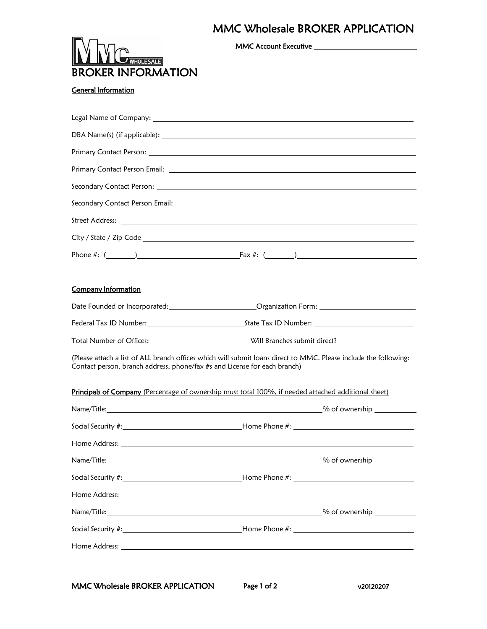# MMC Wholesale BROKER APPLICATION

| WWC <sub>WHOLESALE</sub> |  |  |
|--------------------------|--|--|
| BROKER INFORMATION       |  |  |

MMC Account Executive

#### General Information

| Primary Contact Person Email: North and the state of the state of the state of the state of the state of the state of the state of the state of the state of the state of the state of the state of the state of the state of        |                                                                                                                        |
|--------------------------------------------------------------------------------------------------------------------------------------------------------------------------------------------------------------------------------------|------------------------------------------------------------------------------------------------------------------------|
|                                                                                                                                                                                                                                      |                                                                                                                        |
|                                                                                                                                                                                                                                      |                                                                                                                        |
|                                                                                                                                                                                                                                      |                                                                                                                        |
|                                                                                                                                                                                                                                      |                                                                                                                        |
|                                                                                                                                                                                                                                      |                                                                                                                        |
|                                                                                                                                                                                                                                      |                                                                                                                        |
| <b>Company Information</b>                                                                                                                                                                                                           |                                                                                                                        |
|                                                                                                                                                                                                                                      | Date Founded or Incorporated: Case Contains the Containing Organization Form: Containing the Contains of December 2014 |
|                                                                                                                                                                                                                                      |                                                                                                                        |
|                                                                                                                                                                                                                                      | Total Number of Offices: Notified the South of American Mill Branches submit direct?                                   |
| Contact person, branch address, phone/fax #s and License for each branch)                                                                                                                                                            | (Please attach a list of ALL branch offices which will submit loans direct to MMC. Please include the following:       |
| Principals of Company (Percentage of ownership must total 100%, if needed attached additional sheet)                                                                                                                                 |                                                                                                                        |
|                                                                                                                                                                                                                                      |                                                                                                                        |
|                                                                                                                                                                                                                                      |                                                                                                                        |
| Home Address: <u>New York: Address: New York: New York: New York: New York: New York: New York: New York: New York: New York: New York: New York: New York: New York: New York: New York: New York: New York: New York: New York</u> |                                                                                                                        |
|                                                                                                                                                                                                                                      |                                                                                                                        |
|                                                                                                                                                                                                                                      |                                                                                                                        |
|                                                                                                                                                                                                                                      |                                                                                                                        |
|                                                                                                                                                                                                                                      |                                                                                                                        |
|                                                                                                                                                                                                                                      |                                                                                                                        |
|                                                                                                                                                                                                                                      |                                                                                                                        |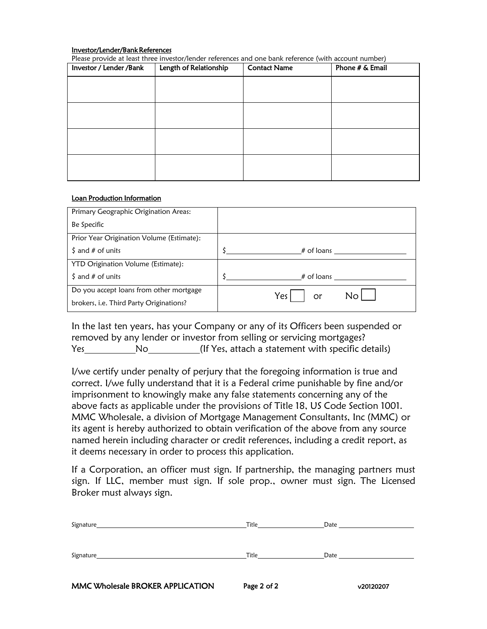#### Investor/Lender/Bank References

| Investor / Lender / Bank | Length of Relationship | <b>Contact Name</b> | Phone # & Email |
|--------------------------|------------------------|---------------------|-----------------|
|                          |                        |                     |                 |
|                          |                        |                     |                 |
|                          |                        |                     |                 |
|                          |                        |                     |                 |
|                          |                        |                     |                 |
|                          |                        |                     |                 |
|                          |                        |                     |                 |
|                          |                        |                     |                 |

Please provide at least three investor/lender references and one bank reference (with account number)

#### Loan Production Information

| Primary Geographic Origination Areas:     |            |
|-------------------------------------------|------------|
| Be Specific                               |            |
| Prior Year Origination Volume (Estimate): |            |
| $\frac{1}{2}$ and # of units              | # of loans |
| <b>YTD Origination Volume (Estimate):</b> |            |
| $\frac{1}{2}$ and # of units              | # of loans |
| Do you accept loans from other mortgage   | Yes<br>or  |
| brokers, i.e. Third Party Originations?   |            |

In the last ten years, has your Company or any of its Officers been suspended or removed by any lender or investor from selling or servicing mortgages? Yes No (If Yes, attach a statement with specific details)

I/we certify under penalty of perjury that the foregoing information is true and correct. I/we fully understand that it is a Federal crime punishable by fine and/or imprisonment to knowingly make any false statements concerning any of the above facts as applicable under the provisions of Title 18, US Code Section 1001. MMC Wholesale, a division of Mortgage Management Consultants, Inc (MMC) or its agent is hereby authorized to obtain verification of the above from any source named herein including character or credit references, including a credit report, as it deems necessary in order to process this application.

If a Corporation, an officer must sign. If partnership, the managing partners must sign. If LLC, member must sign. If sole prop., owner must sign. The Licensed Broker must always sign.

| Title       |                                                                                                                                                                                                                                             |
|-------------|---------------------------------------------------------------------------------------------------------------------------------------------------------------------------------------------------------------------------------------------|
|             |                                                                                                                                                                                                                                             |
|             |                                                                                                                                                                                                                                             |
|             |                                                                                                                                                                                                                                             |
|             |                                                                                                                                                                                                                                             |
|             |                                                                                                                                                                                                                                             |
| Page 2 of 2 |                                                                                                                                                                                                                                             |
|             |                                                                                                                                                                                                                                             |
|             | Date and the state of the state of the state of the state of the state of the state of the state of the state of the state of the state of the state of the state of the state of the state of the state of the state of the s<br>v20120207 |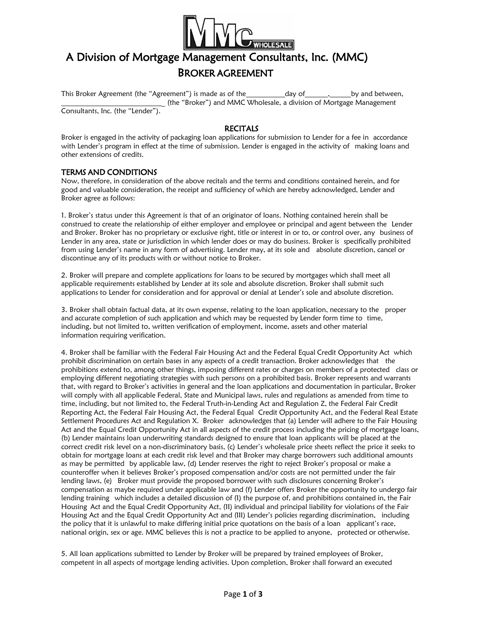

# A Division of Mortgage Management Consultants, Inc. (MMC) BROKER AGREEMENT

This Broker Agreement (the "Agreement") is made as of the day of *day* of *net the day of the symmers* by and between, (the "Broker") and MMC Wholesale, a division of Mortgage Management Consultants, Inc. (the "Lender").

#### RECITALS

Broker is engaged in the activity of packaging loan applications for submission to Lender for a fee in accordance with Lender's program in effect at the time of submission. Lender is engaged in the activity of making loans and other extensions of credits.

#### TERMS AND CONDITIONS

Now, therefore, in consideration of the above recitals and the terms and conditions contained herein, and for good and valuable consideration, the receipt and sufficiency of which are hereby acknowledged, Lender and Broker agree as follows:

1. Broker's status under this Agreement is that of an originator of loans. Nothing contained herein shall be construed to create the relationship of either employer and employee or principal and agent between the Lender and Broker. Broker has no proprietary or exclusive right, title or interest in or to, or control over, any business of Lender in any area, state or jurisdiction in which lender does or may do business. Broker is specifically prohibited from using Lender's name in any form of advertising. Lender may, at its sole and absolute discretion, cancel or discontinue any of its products with or without notice to Broker.

2. Broker will prepare and complete applications for loans to be secured by mortgages which shall meet all applicable requirements established by Lender at its sole and absolute discretion. Broker shall submit such applications to Lender for consideration and for approval or denial at Lender's sole and absolute discretion.

3. Broker shall obtain factual data, at its own expense, relating to the loan application, necessary to the proper and accurate completion of such application and which may be requested by Lender form time to time, including, but not limited to, written verification of employment, income, assets and other material information requiring verification.

4. Broker shall be familiar with the Federal Fair Housing Act and the Federal Equal Credit Opportunity Act which prohibit discrimination on certain bases in any aspects of a credit transaction. Broker acknowledges that the prohibitions extend to, among other things, imposing different rates or charges on members of a protected class or employing different negotiating strategies with such persons on a prohibited basis. Broker represents and warrants that, with regard to Broker's activities in general and the loan applications and documentation in particular, Broker will comply with all applicable Federal, State and Municipal laws, rules and regulations as amended from time to time, including, but not limited to, the Federal Truth-in-Lending Act and Regulation Z, the Federal Fair Credit Reporting Act, the Federal Fair Housing Act, the Federal Equal Credit Opportunity Act, and the Federal Real Estate Settlement Procedures Act and Regulation X. Broker acknowledges that (a) Lender will adhere to the Fair Housing Act and the Equal Credit Opportunity Act in all aspects of the credit process including the pricing of mortgage loans, (b) Lender maintains loan underwriting standards designed to ensure that loan applicants will be placed at the correct credit risk level on a non-discriminatory basis, (c) Lender's wholesale price sheets reflect the price it seeks to obtain for mortgage loans at each credit risk level and that Broker may charge borrowers such additional amounts as may be permitted by applicable law, (d) Lender reserves the right to reject Broker's proposal or make a counteroffer when it believes Broker's proposed compensation and/or costs are not permitted under the fair lending laws, (e) Broker must provide the proposed borrower with such disclosures concerning Broker's compensation as maybe required under applicable law and (f) Lender offers Broker the opportunity to undergo fair lending training which includes a detailed discussion of (I) the purpose of, and prohibitions contained in, the Fair Housing Act and the Equal Credit Opportunity Act, (II) individual and principal liability for violations of the Fair Housing Act and the Equal Credit Opportunity Act and (III) Lender's policies regarding discrimination, including the policy that it is unlawful to make differing initial price quotations on the basis of a loan applicant's race, national origin, sex or age. MMC believes this is not a practice to be applied to anyone, protected or otherwise.

5. All loan applications submitted to Lender by Broker will be prepared by trained employees of Broker, competent in all aspects of mortgage lending activities. Upon completion, Broker shall forward an executed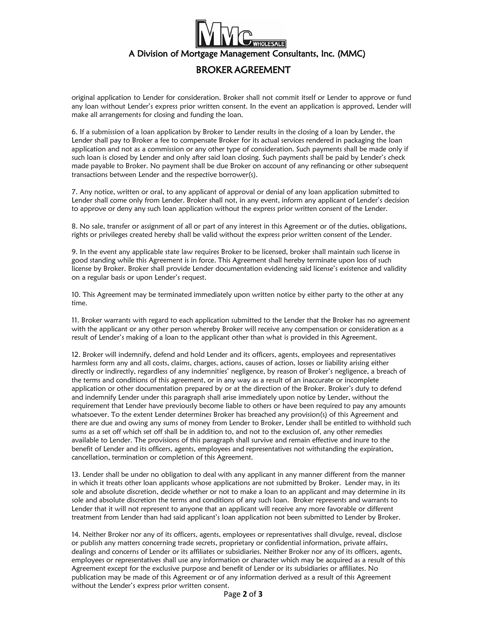# A Division of Mortgage Management Consultants, Inc. (MMC)

## BROKER AGREEMENT

original application to Lender for consideration. Broker shall not commit itself or Lender to approve or fund any loan without Lender's express prior written consent. In the event an application is approved, Lender will make all arrangements for closing and funding the loan.

6. If a submission of a loan application by Broker to Lender results in the closing of a loan by Lender, the Lender shall pay to Broker a fee to compensate Broker for its actual services rendered in packaging the loan application and not as a commission or any other type of consideration. Such payments shall be made only if such loan is closed by Lender and only after said loan closing. Such payments shall be paid by Lender's check made payable to Broker. No payment shall be due Broker on account of any refinancing or other subsequent transactions between Lender and the respective borrower(s).

7. Any notice, written or oral, to any applicant of approval or denial of any loan application submitted to Lender shall come only from Lender. Broker shall not, in any event, inform any applicant of Lender's decision to approve or deny any such loan application without the express prior written consent of the Lender.

8. No sale, transfer or assignment of all or part of any interest in this Agreement or of the duties, obligations, rights or privileges created hereby shall be valid without the express prior written consent of the Lender.

9. In the event any applicable state law requires Broker to be licensed, broker shall maintain such license in good standing while this Agreement is in force. This Agreement shall hereby terminate upon loss of such license by Broker. Broker shall provide Lender documentation evidencing said license's existence and validity on a regular basis or upon Lender's request.

10. This Agreement may be terminated immediately upon written notice by either party to the other at any time.

11. Broker warrants with regard to each application submitted to the Lender that the Broker has no agreement with the applicant or any other person whereby Broker will receive any compensation or consideration as a result of Lender's making of a loan to the applicant other than what is provided in this Agreement.

12. Broker will indemnify, defend and hold Lender and its officers, agents, employees and representatives harmless form any and all costs, claims, charges, actions, causes of action, losses or liability arising either directly or indirectly, regardless of any indemnities' negligence, by reason of Broker's negligence, a breach of the terms and conditions of this agreement, or in any way as a result of an inaccurate or incomplete application or other documentation prepared by or at the direction of the Broker. Broker's duty to defend and indemnify Lender under this paragraph shall arise immediately upon notice by Lender, without the requirement that Lender have previously become liable to others or have been required to pay any amounts whatsoever. To the extent Lender determines Broker has breached any provision(s) of this Agreement and there are due and owing any sums of money from Lender to Broker, Lender shall be entitled to withhold such sums as a set off which set off shall be in addition to, and not to the exclusion of, any other remedies available to Lender. The provisions of this paragraph shall survive and remain effective and inure to the benefit of Lender and its officers, agents, employees and representatives not withstanding the expiration, cancellation, termination or completion of this Agreement.

13. Lender shall be under no obligation to deal with any applicant in any manner different from the manner in which it treats other loan applicants whose applications are not submitted by Broker. Lender may, in its sole and absolute discretion, decide whether or not to make a loan to an applicant and may determine in its sole and absolute discretion the terms and conditions of any such loan. Broker represents and warrants to Lender that it will not represent to anyone that an applicant will receive any more favorable or different treatment from Lender than had said applicant's loan application not been submitted to Lender by Broker.

14. Neither Broker nor any of its officers, agents, employees or representatives shall divulge, reveal, disclose or publish any matters concerning trade secrets, proprietary or confidential information, private affairs, dealings and concerns of Lender or its affiliates or subsidiaries. Neither Broker nor any of its officers, agents, employees or representatives shall use any information or character which may be acquired as a result of this Agreement except for the exclusive purpose and benefit of Lender or its subsidiaries or affiliates. No publication may be made of this Agreement or of any information derived as a result of this Agreement without the Lender's express prior written consent.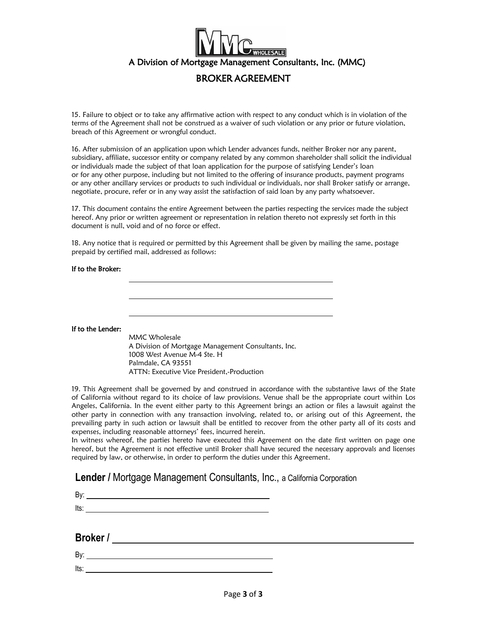# **WHOLESALE** A Division of Mortgage Management Consultants, Inc. (MMC)

## BROKER AGREEMENT

15. Failure to object or to take any affirmative action with respect to any conduct which is in violation of the terms of the Agreement shall not be construed as a waiver of such violation or any prior or future violation, breach of this Agreement or wrongful conduct.

16. After submission of an application upon which Lender advances funds, neither Broker nor any parent, subsidiary, affiliate, successor entity or company related by any common shareholder shall solicit the individual or individuals made the subject of that loan application for the purpose of satisfying Lender's loan or for any other purpose, including but not limited to the offering of insurance products, payment programs or any other ancillary services or products to such individual or individuals, nor shall Broker satisfy or arrange, negotiate, procure, refer or in any way assist the satisfaction of said loan by any party whatsoever.

17. This document contains the entire Agreement between the parties respecting the services made the subject hereof. Any prior or written agreement or representation in relation thereto not expressly set forth in this document is null, void and of no force or effect.

18. Any notice that is required or permitted by this Agreement shall be given by mailing the same, postage prepaid by certified mail, addressed as follows:

#### If to the Broker:

If to the Lender:

MMC Wholesale A Division of Mortgage Management Consultants, Inc. 1008 West Avenue M-4 Ste. H Palmdale, CA 93551 ATTN: Executive Vice President,-Production

19. This Agreement shall be governed by and construed in accordance with the substantive laws of the State of California without regard to its choice of law provisions. Venue shall be the appropriate court within Los Angeles, California. In the event either party to this Agreement brings an action or files a lawsuit against the other party in connection with any transaction involving, related to, or arising out of this Agreement, the prevailing party in such action or lawsuit shall be entitled to recover from the other party all of its costs and expenses, including reasonable attorneys' fees, incurred herein.

In witness whereof, the parties hereto have executed this Agreement on the date first written on page one hereof, but the Agreement is not effective until Broker shall have secured the necessary approvals and licenses required by law, or otherwise, in order to perform the duties under this Agreement.

## **Lender /** Mortgage Management Consultants, Inc., a California Corporation

By: Its:

**Broker /** 

By: <u>the contract of the contract of the contract of the contract of the contract of the contract of the contract of the contract of the contract of the contract of the contract of the contract of the contract of the contr</u> Its: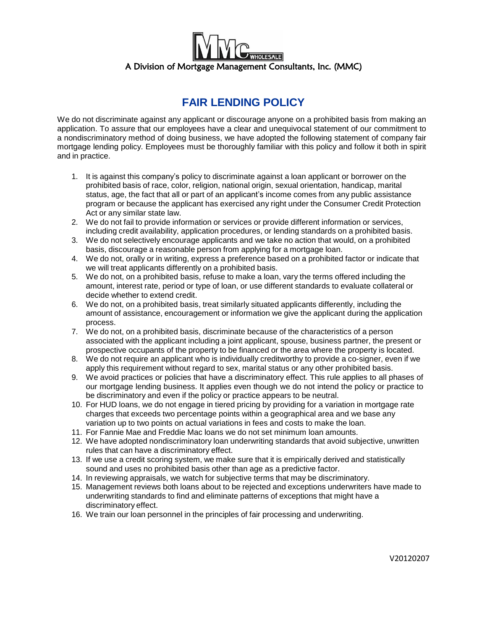

# **FAIR LENDING POLICY**

We do not discriminate against any applicant or discourage anyone on a prohibited basis from making an application. To assure that our employees have a clear and unequivocal statement of our commitment to a nondiscriminatory method of doing business, we have adopted the following statement of company fair mortgage lending policy. Employees must be thoroughly familiar with this policy and follow it both in spirit and in practice.

- 1. It is against this company's policy to discriminate against a loan applicant or borrower on the prohibited basis of race, color, religion, national origin, sexual orientation, handicap, marital status, age, the fact that all or part of an applicant's income comes from any public assistance program or because the applicant has exercised any right under the Consumer Credit Protection Act or any similar state law.
- 2. We do not fail to provide information or services or provide different information or services, including credit availability, application procedures, or lending standards on a prohibited basis.
- 3. We do not selectively encourage applicants and we take no action that would, on a prohibited basis, discourage a reasonable person from applying for a mortgage loan.
- 4. We do not, orally or in writing, express a preference based on a prohibited factor or indicate that we will treat applicants differently on a prohibited basis.
- 5. We do not, on a prohibited basis, refuse to make a loan, vary the terms offered including the amount, interest rate, period or type of loan, or use different standards to evaluate collateral or decide whether to extend credit.
- 6. We do not, on a prohibited basis, treat similarly situated applicants differently, including the amount of assistance, encouragement or information we give the applicant during the application process.
- 7. We do not, on a prohibited basis, discriminate because of the characteristics of a person associated with the applicant including a joint applicant, spouse, business partner, the present or prospective occupants of the property to be financed or the area where the property is located.
- 8. We do not require an applicant who is individually creditworthy to provide a co-signer, even if we apply this requirement without regard to sex, marital status or any other prohibited basis.
- 9. We avoid practices or policies that have a discriminatory effect. This rule applies to all phases of our mortgage lending business. It applies even though we do not intend the policy or practice to be discriminatory and even if the policy or practice appears to be neutral.
- 10. For HUD loans, we do not engage in tiered pricing by providing for a variation in mortgage rate charges that exceeds two percentage points within a geographical area and we base any variation up to two points on actual variations in fees and costs to make the loan.
- 11. For Fannie Mae and Freddie Mac loans we do not set minimum loan amounts.
- 12. We have adopted nondiscriminatory loan underwriting standards that avoid subjective, unwritten rules that can have a discriminatory effect.
- 13. If we use a credit scoring system, we make sure that it is empirically derived and statistically sound and uses no prohibited basis other than age as a predictive factor.
- 14. In reviewing appraisals, we watch for subjective terms that may be discriminatory.
- 15. Management reviews both loans about to be rejected and exceptions underwriters have made to underwriting standards to find and eliminate patterns of exceptions that might have a discriminatory effect.
- 16. We train our loan personnel in the principles of fair processing and underwriting.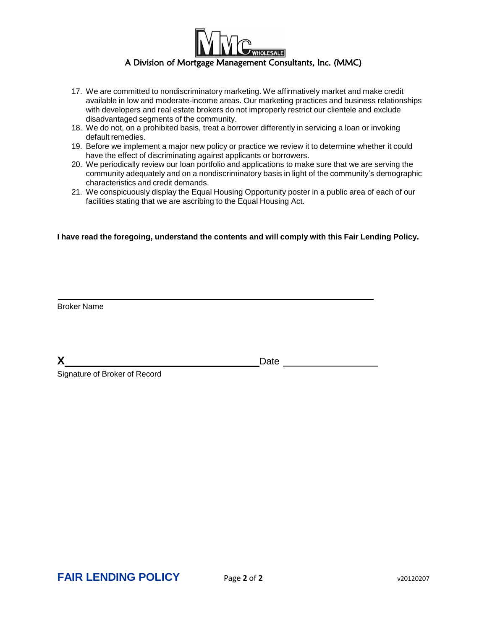

- 17. We are committed to nondiscriminatory marketing. We affirmatively market and make credit available in low and moderate-income areas. Our marketing practices and business relationships with developers and real estate brokers do not improperly restrict our clientele and exclude disadvantaged segments of the community.
- 18. We do not, on a prohibited basis, treat a borrower differently in servicing a loan or invoking default remedies.
- 19. Before we implement a major new policy or practice we review it to determine whether it could have the effect of discriminating against applicants or borrowers.
- 20. We periodically review our loan portfolio and applications to make sure that we are serving the community adequately and on a nondiscriminatory basis in light of the community's demographic characteristics and credit demands.
- 21. We conspicuously display the Equal Housing Opportunity poster in a public area of each of our facilities stating that we are ascribing to the Equal Housing Act.

**I have read the foregoing, understand the contents and will comply with this Fair Lending Policy.**

Broker Name

Signature of Broker of Record

**X** Date

**FAIR LENDING POLICY** Page **2** of **2** v20120207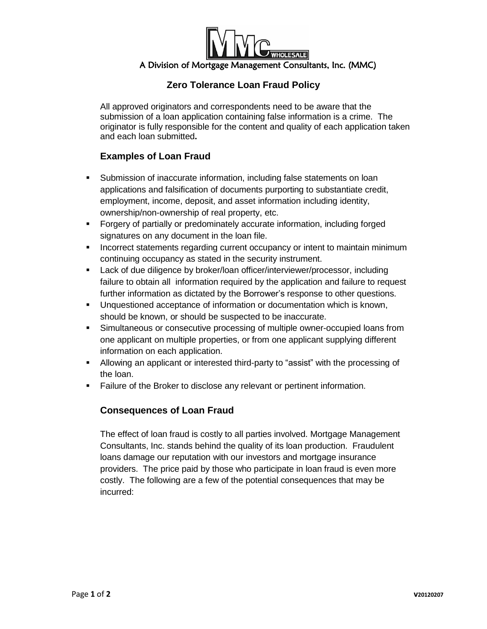

## **Zero Tolerance Loan Fraud Policy**

All approved originators and correspondents need to be aware that the submission of a loan application containing false information is a crime. The originator is fully responsible for the content and quality of each application taken and each loan submitted**.**

## **Examples of Loan Fraud**

- Submission of inaccurate information, including false statements on loan applications and falsification of documents purporting to substantiate credit, employment, income, deposit, and asset information including identity, ownership/non-ownership of real property, etc.
- Forgery of partially or predominately accurate information, including forged signatures on any document in the loan file.
- **Incorrect statements regarding current occupancy or intent to maintain minimum** continuing occupancy as stated in the security instrument.
- Lack of due diligence by broker/loan officer/interviewer/processor, including failure to obtain all information required by the application and failure to request further information as dictated by the Borrower's response to other questions.
- Unquestioned acceptance of information or documentation which is known, should be known, or should be suspected to be inaccurate.
- Simultaneous or consecutive processing of multiple owner-occupied loans from one applicant on multiple properties, or from one applicant supplying different information on each application.
- Allowing an applicant or interested third-party to "assist" with the processing of the loan.
- **Failure of the Broker to disclose any relevant or pertinent information.**

## **Consequences of Loan Fraud**

The effect of loan fraud is costly to all parties involved. Mortgage Management Consultants, Inc. stands behind the quality of its loan production. Fraudulent loans damage our reputation with our investors and mortgage insurance providers. The price paid by those who participate in loan fraud is even more costly. The following are a few of the potential consequences that may be incurred: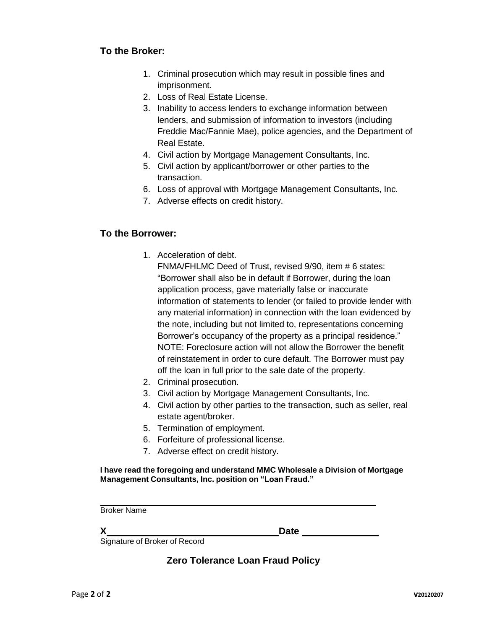## **To the Broker:**

- 1. Criminal prosecution which may result in possible fines and imprisonment.
- 2. Loss of Real Estate License.
- 3. Inability to access lenders to exchange information between lenders, and submission of information to investors (including Freddie Mac/Fannie Mae), police agencies, and the Department of Real Estate.
- 4. Civil action by Mortgage Management Consultants, Inc.
- 5. Civil action by applicant/borrower or other parties to the transaction.
- 6. Loss of approval with Mortgage Management Consultants, Inc.
- 7. Adverse effects on credit history.

### **To the Borrower:**

- 1. Acceleration of debt. FNMA/FHLMC Deed of Trust, revised 9/90, item # 6 states: "Borrower shall also be in default if Borrower, during the loan application process, gave materially false or inaccurate information of statements to lender (or failed to provide lender with any material information) in connection with the loan evidenced by the note, including but not limited to, representations concerning Borrower's occupancy of the property as a principal residence." NOTE: Foreclosure action will not allow the Borrower the benefit of reinstatement in order to cure default. The Borrower must pay off the loan in full prior to the sale date of the property.
- 2. Criminal prosecution.
- 3. Civil action by Mortgage Management Consultants, Inc.
- 4. Civil action by other parties to the transaction, such as seller, real estate agent/broker.
- 5. Termination of employment.
- 6. Forfeiture of professional license.
- 7. Adverse effect on credit history.

**I have read the foregoing and understand MMC Wholesale a Division of Mortgage Management Consultants, Inc. position on "Loan Fraud."**

Broker Name

**X** Date

Signature of Broker of Record

**Zero Tolerance Loan Fraud Policy**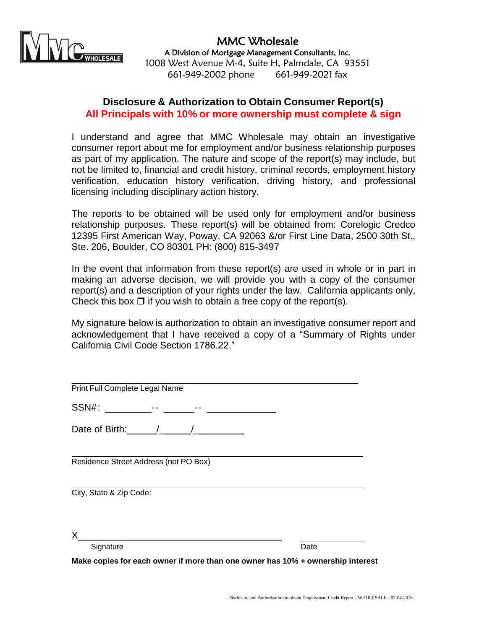

MMC Wholesale A Division of Mortgage Management Consultants, Inc. 1008 West Avenue M-4, Suite H, Palmdale, CA 93551 661-949-2002 phone 661-949-2021 fax

## **Disclosure & Authorization to Obtain Consumer Report(s) All Principals with 10% or more ownership must complete & sign**

I understand and agree that MMC Wholesale may obtain an investigative consumer report about me for employment and/or business relationship purposes as part of my application. The nature and scope of the report(s) may include, but not be limited to, financial and credit history, criminal records, employment history verification, education history verification, driving history, and professional licensing including disciplinary action history.

The reports to be obtained will be used only for employment and/or business relationship purposes. These report(s) will be obtained from: Corelogic Credco 12395 First American Way, Poway, CA 92063 &/or First Line Data, 2500 30th St., Ste. 206, Boulder, CO 80301 PH: (800) 815-3497

In the event that information from these report(s) are used in whole or in part in making an adverse decision, we will provide you with a copy of the consumer report(s) and a description of your rights under the law. California applicants only, Check this box  $\Box$  if you wish to obtain a free copy of the report(s).

My signature below is authorization to obtain an investigative consumer report and acknowledgement that I have received a copy of a "Summary of Rights under California Civil Code Section 1786.22."

| Signature<br>Make copies for each owner if more than one owner has 10% + ownership interest | Date |
|---------------------------------------------------------------------------------------------|------|
| X.                                                                                          |      |
|                                                                                             |      |
|                                                                                             |      |
| City, State & Zip Code:                                                                     |      |
| Residence Street Address (not PO Box)                                                       |      |
|                                                                                             |      |
| Date of Birth: $\frac{1}{2}$ /                                                              |      |
| SSN#: __________-- _______-- _                                                              |      |
| Print Full Complete Legal Name                                                              |      |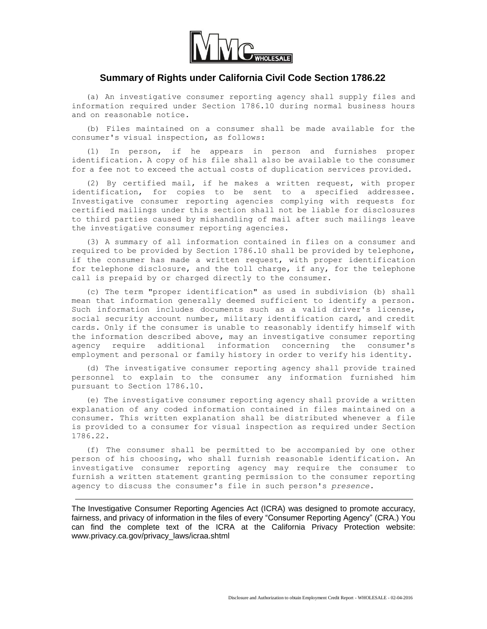

#### **Summary of Rights under California Civil Code Section 1786.22**

(a) An investigative consumer reporting agency shall supply files and information required under Section 1786.10 during normal business hours and on reasonable notice.

(b) Files maintained on a consumer shall be made available for the consumer's visual inspection, as follows:

(1) In person, if he appears in person and furnishes proper identification. A copy of his file shall also be available to the consumer for a fee not to exceed the actual costs of duplication services provided.

(2) By certified mail, if he makes a written request, with proper identification, for copies to be sent to a specified addressee. Investigative consumer reporting agencies complying with requests for certified mailings under this section shall not be liable for disclosures to third parties caused by mishandling of mail after such mailings leave the investigative consumer reporting agencies.

(3) A summary of all information contained in files on a consumer and required to be provided by Section 1786.10 shall be provided by telephone, if the consumer has made a written request, with proper identification for telephone disclosure, and the toll charge, if any, for the telephone call is prepaid by or charged directly to the consumer.

(c) The term "proper identification" as used in subdivision (b) shall mean that information generally deemed sufficient to identify a person. Such information includes documents such as a valid driver's license, social security account number, military identification card, and credit cards. Only if the consumer is unable to reasonably identify himself with the information described above, may an investigative consumer reporting agency require additional information concerning the consumer's employment and personal or family history in order to verify his identity.

(d) The investigative consumer reporting agency shall provide trained personnel to explain to the consumer any information furnished him pursuant to Section 1786.10.

(e) The investigative consumer reporting agency shall provide a written explanation of any coded information contained in files maintained on a consumer. This written explanation shall be distributed whenever a file is provided to a consumer for visual inspection as required under Section 1786.22.

(f) The consumer shall be permitted to be accompanied by one other person of his choosing, who shall furnish reasonable identification. An investigative consumer reporting agency may require the consumer to furnish a written statement granting permission to the consumer reporting agency to discuss the consumer's file in such person's *presence.*

The Investigative Consumer Reporting Agencies Act (ICRA) was designed to promote accuracy, fairness, and privacy of information in the files of every "Consumer Reporting Agency" (CRA.) You can find the complete text of the ICRA at the California Privacy Protection website: www.privacy.ca.gov/privacy\_laws/icraa.shtml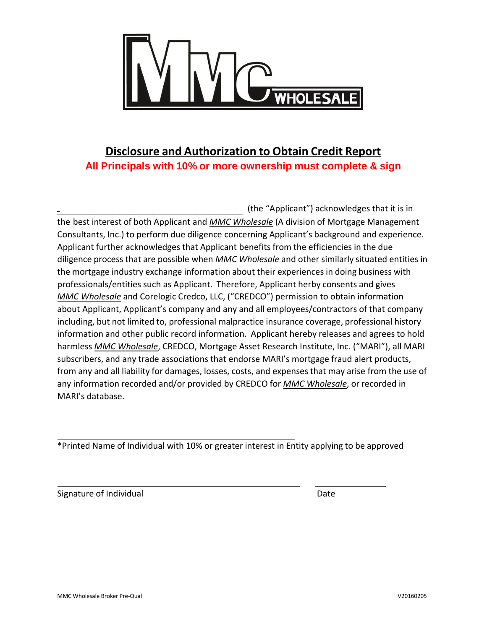

# **Disclosure and Authorization to Obtain Credit Report All Principals with 10% or more ownership must complete & sign**

\_\_\_\_\_\_\_\_\_\_\_\_\_\_\_\_\_\_\_\_\_\_\_\_\_\_\_\_\_\_\_\_\_\_\_\_\_\_\_ (the "Applicant") acknowledges that it is in the best interest of both Applicant and *MMC Wholesale* (A division of Mortgage Management Consultants, Inc.) to perform due diligence concerning Applicant's background and experience. Applicant further acknowledges that Applicant benefits from the efficiencies in the due diligence process that are possible when *MMC Wholesale* and other similarly situated entities in the mortgage industry exchange information about their experiences in doing business with professionals/entities such as Applicant. Therefore, Applicant herby consents and gives *MMC Wholesale* and Corelogic Credco, LLC, ("CREDCO") permission to obtain information about Applicant, Applicant's company and any and all employees/contractors of that company including, but not limited to, professional malpractice insurance coverage, professional history information and other public record information. Applicant hereby releases and agrees to hold harmless *MMC Wholesale*, CREDCO, Mortgage Asset Research Institute, Inc. ("MARI"), all MARI subscribers, and any trade associations that endorse MARI's mortgage fraud alert products, from any and all liability for damages, losses, costs, and expenses that may arise from the use of any information recorded and/or provided by CREDCO for *MMC Wholesale*, or recorded in MARI's database.

\*Printed Name of Individual with 10% or greater interest in Entity applying to be approved

Signature of Individual **Date**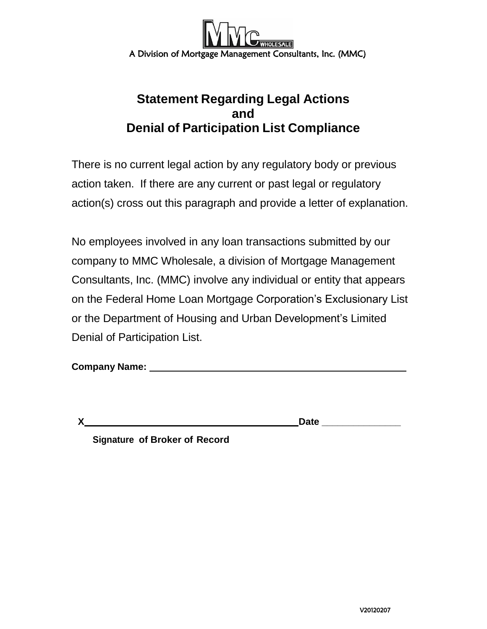# A Division of Mortgage Management Consultants, Inc. (MMC)

# **Statement Regarding Legal Actions and Denial of Participation List Compliance**

There is no current legal action by any regulatory body or previous action taken. If there are any current or past legal or regulatory action(s) cross out this paragraph and provide a letter of explanation.

No employees involved in any loan transactions submitted by our company to MMC Wholesale, a division of Mortgage Management Consultants, Inc. (MMC) involve any individual or entity that appears on the Federal Home Loan Mortgage Corporation's Exclusionary List or the Department of Housing and Urban Development's Limited Denial of Participation List.

**Company Name:** 

**X Date \_\_\_\_\_\_\_\_\_\_\_\_\_\_\_** 

 **Signature of Broker of Record**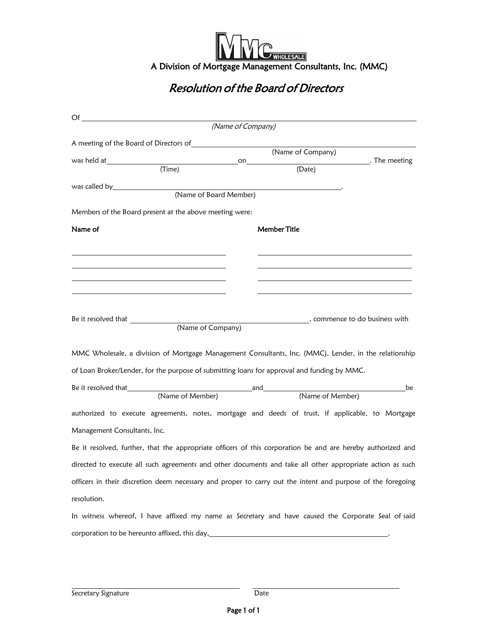

# Resolution of the Board of Directors

| Of the control of the control of the control of the control of the control of the control of the control of th<br>Separate control of the control of the control of the control of the control of the control of the control of t    |                                                                                                                |             |
|--------------------------------------------------------------------------------------------------------------------------------------------------------------------------------------------------------------------------------------|----------------------------------------------------------------------------------------------------------------|-------------|
| (Name of Company)                                                                                                                                                                                                                    |                                                                                                                |             |
|                                                                                                                                                                                                                                      |                                                                                                                |             |
| was held at the state of the state of the state of the state of the state of the state of the state of the state of the state of the state of the state of the state of the state of the state of the state of the state of th<br>on | (Name of Company)                                                                                              | The meeting |
| (Time)                                                                                                                                                                                                                               | (Date)                                                                                                         |             |
|                                                                                                                                                                                                                                      |                                                                                                                |             |
| (Name of Board Member)                                                                                                                                                                                                               |                                                                                                                |             |
| Members of the Board present at the above meeting were:                                                                                                                                                                              |                                                                                                                |             |
| Name of                                                                                                                                                                                                                              | <b>Member Title</b>                                                                                            |             |
|                                                                                                                                                                                                                                      |                                                                                                                |             |
|                                                                                                                                                                                                                                      |                                                                                                                |             |
| Be it resolved that<br>(Name of Company)                                                                                                                                                                                             | , commence to do business with                                                                                 |             |
| MMC Wholesale, a division of Mortgage Management Consultants, Inc. (MMC), Lender, in the relationship                                                                                                                                |                                                                                                                |             |
| of Loan Broker/Lender, for the purpose of submitting loans for approval and funding by MMC.                                                                                                                                          |                                                                                                                |             |
| Be it resolved that_                                                                                                                                                                                                                 | and and the state of the state of the state of the state of the state of the state of the state of the state o | be          |
| (Name of Member)                                                                                                                                                                                                                     | (Name of Member)                                                                                               |             |
| authorized to execute agreements, notes, mortgage and deeds of trust, if applicable, to Mortgage                                                                                                                                     |                                                                                                                |             |
| Management Consultants, Inc.                                                                                                                                                                                                         |                                                                                                                |             |
| Be it resolved, further, that the appropriate officers of this corporation be and are hereby authorized and                                                                                                                          |                                                                                                                |             |
| directed to execute all such agreements and other documents and take all other appropriate action as such                                                                                                                            |                                                                                                                |             |
| officers in their discretion deem necessary and proper to carry out the intent and purpose of the foregoing                                                                                                                          |                                                                                                                |             |
| resolution.                                                                                                                                                                                                                          |                                                                                                                |             |
| In witness whereof, I have affixed my name as Secretary and have caused the Corporate Seal of said                                                                                                                                   |                                                                                                                |             |
|                                                                                                                                                                                                                                      |                                                                                                                |             |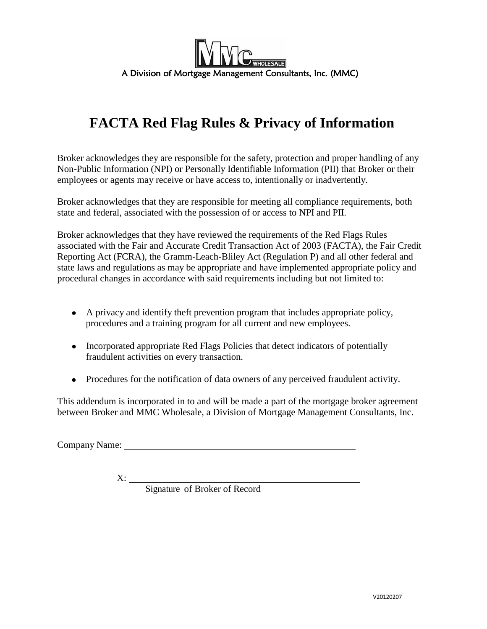

# **FACTA Red Flag Rules & Privacy of Information**

Broker acknowledges they are responsible for the safety, protection and proper handling of any Non-Public Information (NPI) or Personally Identifiable Information (PII) that Broker or their employees or agents may receive or have access to, intentionally or inadvertently.

Broker acknowledges that they are responsible for meeting all compliance requirements, both state and federal, associated with the possession of or access to NPI and PII.

Broker acknowledges that they have reviewed the requirements of the Red Flags Rules associated with the Fair and Accurate Credit Transaction Act of 2003 (FACTA), the Fair Credit Reporting Act (FCRA), the Gramm-Leach-Bliley Act (Regulation P) and all other federal and state laws and regulations as may be appropriate and have implemented appropriate policy and procedural changes in accordance with said requirements including but not limited to:

- A privacy and identify theft prevention program that includes appropriate policy, procedures and a training program for all current and new employees.
- Incorporated appropriate Red Flags Policies that detect indicators of potentially fraudulent activities on every transaction.
- Procedures for the notification of data owners of any perceived fraudulent activity.

This addendum is incorporated in to and will be made a part of the mortgage broker agreement between Broker and MMC Wholesale, a Division of Mortgage Management Consultants, Inc.

Company Name:

X:

Signature of Broker of Record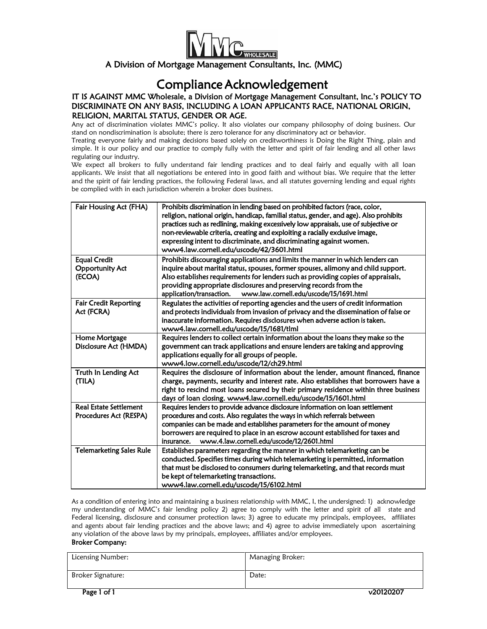

# Compliance Acknowledgement

#### IT IS AGAINST MMC Wholesale, a Division of Mortgage Management Consultant, Inc.'s POLICY TO DISCRIMINATE ON ANY BASIS, INCLUDING A LOAN APPLICANTS RACE, NATIONAL ORIGIN, RELIGION, MARITAL STATUS, GENDER OR AGE.

Any act of discrimination violates MMC's policy. It also violates our company philosophy of doing business. Our stand on nondiscrimination is absolute; there is zero tolerance for any discriminatory act or behavior.

Treating everyone fairly and making decisions based solely on creditworthiness is Doing the Right Thing, plain and simple. It is our policy and our practice to comply fully with the letter and spirit of fair lending and all other laws regulating our industry.

We expect all brokers to fully understand fair lending practices and to deal fairly and equally with all loan applicants. We insist that all negotiations be entered into in good faith and without bias. We require that the letter and the spirit of fair lending practices, the following Federal laws, and all statutes governing lending and equal rights be complied with in each jurisdiction wherein a broker does business.

| Fair Housing Act (FHA)          | Prohibits discrimination in lending based on prohibited factors (race, color,<br>religion, national origin, handicap, familial status, gender, and age). Also prohibits<br>practices such as redlining, making excessively low appraisals, use of subjective or<br>non-reviewable criteria, creating and exploiting a racially exclusive image,<br>expressing intent to discriminate, and discriminating against women.<br>www4.law.cornell.edu/uscode/42/3601.html |
|---------------------------------|---------------------------------------------------------------------------------------------------------------------------------------------------------------------------------------------------------------------------------------------------------------------------------------------------------------------------------------------------------------------------------------------------------------------------------------------------------------------|
| <b>Equal Credit</b>             | Prohibits discouraging applications and limits the manner in which lenders can                                                                                                                                                                                                                                                                                                                                                                                      |
| <b>Opportunity Act</b>          | inquire about marital status, spouses, former spouses, alimony and child support.                                                                                                                                                                                                                                                                                                                                                                                   |
| (ECOA)                          | Also establishes requirements for lenders such as providing copies of appraisals,                                                                                                                                                                                                                                                                                                                                                                                   |
|                                 | providing appropriate disclosures and preserving records from the                                                                                                                                                                                                                                                                                                                                                                                                   |
|                                 | www.law.cornell.edu/uscode/15/1691.html<br>application/transaction.                                                                                                                                                                                                                                                                                                                                                                                                 |
| <b>Fair Credit Reporting</b>    | Regulates the activities of reporting agencies and the users of credit information                                                                                                                                                                                                                                                                                                                                                                                  |
| Act (FCRA)                      | and protects individuals from invasion of privacy and the dissemination of false or                                                                                                                                                                                                                                                                                                                                                                                 |
|                                 | inaccurate information. Requires disclosures when adverse action is taken.                                                                                                                                                                                                                                                                                                                                                                                          |
|                                 | www4.law.cornell.edu/uscode/15/1681/tlml                                                                                                                                                                                                                                                                                                                                                                                                                            |
| Home Mortgage                   | Requires lenders to collect certain information about the loans they make so the                                                                                                                                                                                                                                                                                                                                                                                    |
| Disclosure Act (HMDA)           | government can track applications and ensure lenders are taking and approving                                                                                                                                                                                                                                                                                                                                                                                       |
|                                 | applications equally for all groups of people.                                                                                                                                                                                                                                                                                                                                                                                                                      |
|                                 | www4.low.cornell.edu/uscode/12/ch29.html                                                                                                                                                                                                                                                                                                                                                                                                                            |
| Truth In Lending Act            | Requires the disclosure of information about the lender, amount financed, finance                                                                                                                                                                                                                                                                                                                                                                                   |
| (TILA)                          | charge, payments, security and interest rate. Also establishes that borrowers have a                                                                                                                                                                                                                                                                                                                                                                                |
|                                 | right to rescind most loans secured by their primary residence within three business                                                                                                                                                                                                                                                                                                                                                                                |
|                                 | days of loan closing. www4.law.cornell.edu/uscode/15/1601.html                                                                                                                                                                                                                                                                                                                                                                                                      |
| <b>Real Estate Settlement</b>   | Requires lenders to provide advance disclosure information on loan settlement                                                                                                                                                                                                                                                                                                                                                                                       |
| Procedures Act (RESPA)          | procedures and costs. Also regulates the ways in which referrals between                                                                                                                                                                                                                                                                                                                                                                                            |
|                                 | companies can be made and establishes parameters for the amount of money                                                                                                                                                                                                                                                                                                                                                                                            |
|                                 | borrowers are required to place in an escrow account established for taxes and                                                                                                                                                                                                                                                                                                                                                                                      |
|                                 | www.4.law.cornell.edu/uscode/12/2601.html<br>insurance.                                                                                                                                                                                                                                                                                                                                                                                                             |
| <b>Telemarketing Sales Rule</b> | Establishes parameters regarding the manner in which telemarketing can be                                                                                                                                                                                                                                                                                                                                                                                           |
|                                 | conducted. Specifies times during which telemarketing is permitted, information                                                                                                                                                                                                                                                                                                                                                                                     |
|                                 | that must be disclosed to consumers during telemarketing, and that records must                                                                                                                                                                                                                                                                                                                                                                                     |
|                                 | be kept of telemarketing transactions.                                                                                                                                                                                                                                                                                                                                                                                                                              |
|                                 | www4.law.cornell.edu/uscode/15/6102.html                                                                                                                                                                                                                                                                                                                                                                                                                            |

As a condition of entering into and maintaining a business relationship with MMC, I, the undersigned: 1) acknowledge my understanding of MMC's fair lending policy 2) agree to comply with the letter and spirit of all state and Federal licensing, disclosure and consumer protection laws; 3) agree to educate my principals, employees, affiliates and agents about fair lending practices and the above laws; and 4) agree to advise immediately upon ascertaining any violation of the above laws by my principals, employees, affiliates and/or employees.

#### Broker Company:

| Licensing Number: | Managing Broker: |
|-------------------|------------------|
| Broker Signature: | Date:            |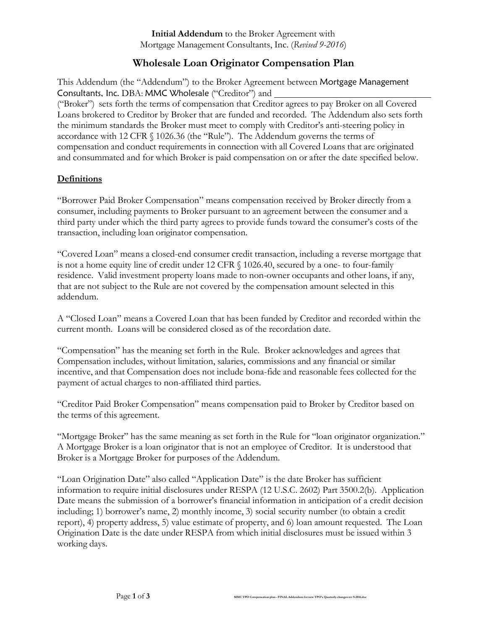#### **Initial Addendum** to the Broker Agreement with Mortgage Management Consultants, Inc. (*Revised 9-2016*)

## **Wholesale Loan Originator Compensation Plan**

This Addendum (the "Addendum") to the Broker Agreement between Mortgage Management Consultants, Inc. DBA: MMC Wholesale ("Creditor") and

("Broker") sets forth the terms of compensation that Creditor agrees to pay Broker on all Covered Loans brokered to Creditor by Broker that are funded and recorded. The Addendum also sets forth the minimum standards the Broker must meet to comply with Creditor's anti-steering policy in accordance with 12 CFR § 1026.36 (the "Rule"). The Addendum governs the terms of compensation and conduct requirements in connection with all Covered Loans that are originated and consummated and for which Broker is paid compensation on or after the date specified below.

## **Definitions**

"Borrower Paid Broker Compensation" means compensation received by Broker directly from a consumer, including payments to Broker pursuant to an agreement between the consumer and a third party under which the third party agrees to provide funds toward the consumer's costs of the transaction, including loan originator compensation.

"Covered Loan" means a closed-end consumer credit transaction, including a reverse mortgage that is not a home equity line of credit under 12 CFR § 1026.40, secured by a one- to four-family residence. Valid investment property loans made to non-owner occupants and other loans, if any, that are not subject to the Rule are not covered by the compensation amount selected in this addendum.

A "Closed Loan" means a Covered Loan that has been funded by Creditor and recorded within the current month. Loans will be considered closed as of the recordation date.

"Compensation" has the meaning set forth in the Rule. Broker acknowledges and agrees that Compensation includes, without limitation, salaries, commissions and any financial or similar incentive, and that Compensation does not include bona-fide and reasonable fees collected for the payment of actual charges to non-affiliated third parties.

"Creditor Paid Broker Compensation" means compensation paid to Broker by Creditor based on the terms of this agreement.

"Mortgage Broker" has the same meaning as set forth in the Rule for "loan originator organization." A Mortgage Broker is a loan originator that is not an employee of Creditor. It is understood that Broker is a Mortgage Broker for purposes of the Addendum.

"Loan Origination Date" also called "Application Date" is the date Broker has sufficient information to require initial disclosures under RESPA (12 U.S.C. 2602) Part 3500.2(b). Application Date means the submission of a borrower's financial information in anticipation of a credit decision including; 1) borrower's name, 2) monthly income, 3) social security number (to obtain a credit report), 4) property address, 5) value estimate of property, and 6) loan amount requested. The Loan Origination Date is the date under RESPA from which initial disclosures must be issued within 3 working days.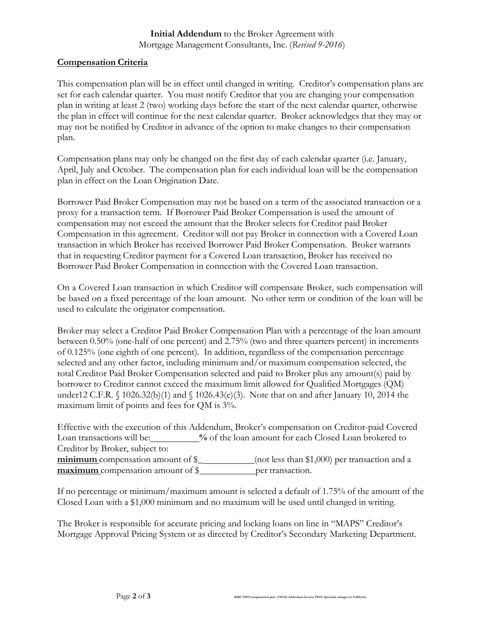#### **Initial Addendum** to the Broker Agreement with Mortgage Management Consultants, Inc. (*Revised 9-2016*)

#### **Compensation Criteria**

This compensation plan will be in effect until changed in writing. Creditor's compensation plans are set for each calendar quarter. You must notify Creditor that you are changing your compensation plan in writing at least 2 (two) working days before the start of the next calendar quarter, otherwise the plan in effect will continue for the next calendar quarter. Broker acknowledges that they may or may not be notified by Creditor in advance of the option to make changes to their compensation plan.

Compensation plans may only be changed on the first day of each calendar quarter (i.e. January, April, July and October. The compensation plan for each individual loan will be the compensation plan in effect on the Loan Origination Date.

Borrower Paid Broker Compensation may not be based on a term of the associated transaction or a proxy for a transaction term. If Borrower Paid Broker Compensation is used the amount of compensation may not exceed the amount that the Broker selects for Creditor paid Broker Compensation in this agreement. Creditor will not pay Broker in connection with a Covered Loan transaction in which Broker has received Borrower Paid Broker Compensation. Broker warrants that in requesting Creditor payment for a Covered Loan transaction, Broker has received no Borrower Paid Broker Compensation in connection with the Covered Loan transaction.

On a Covered Loan transaction in which Creditor will compensate Broker, such compensation will be based on a fixed percentage of the loan amount. No other term or condition of the loan will be used to calculate the originator compensation.

Broker may select a Creditor Paid Broker Compensation Plan with a percentage of the loan amount between 0.50% (one-half of one percent) and 2.75% (two and three quarters percent) in increments of 0.125% (one eighth of one percent). In addition, regardless of the compensation percentage selected and any other factor, including minimum and/or maximum compensation selected, the total Creditor Paid Broker Compensation selected and paid to Broker plus any amount(s) paid by borrower to Creditor cannot exceed the maximum limit allowed for Qualified Mortgages (QM) under12 C.F.R. § 1026.32(b)(1) and § 1026.43(e)(3). Note that on and after January 10, 2014 the maximum limit of points and fees for QM is 3%.

Effective with the execution of this Addendum, Broker's compensation on Creditor-paid Covered Loan transactions will be: **%** of the loan amount for each Closed Loan brokered to Creditor by Broker, subject to: **minimum** compensation amount of \$\_ (not less than \$1,000) per transaction and a **maximum** compensation amount of \$\_\_\_\_\_\_\_\_\_\_\_\_\_ per transaction.

If no percentage or minimum/maximum amount is selected a default of 1.75% of the amount of the Closed Loan with a \$1,000 minimum and no maximum will be used until changed in writing.

The Broker is responsible for accurate pricing and locking loans on line in "MAPS" Creditor's Mortgage Approval Pricing System or as directed by Creditor's Secondary Marketing Department.